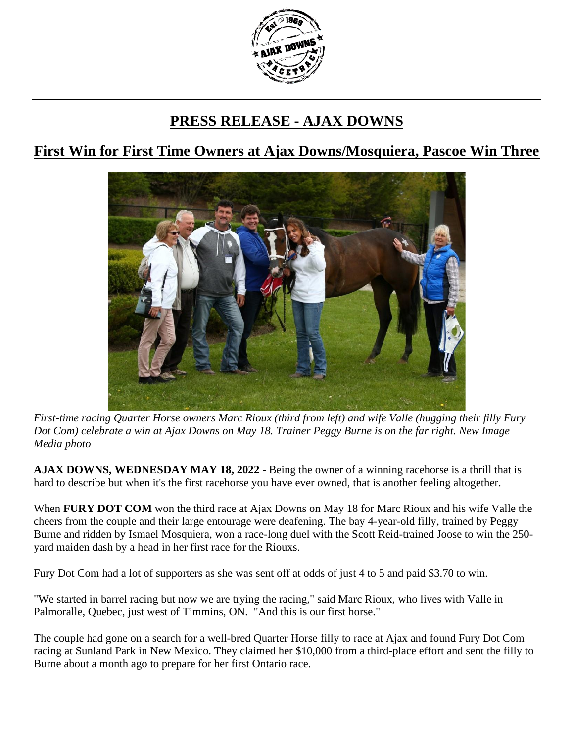

## **PRESS RELEASE - AJAX DOWNS**

## **First Win for First Time Owners at Ajax Downs/Mosquiera, Pascoe Win Three**



*First-time racing Quarter Horse owners Marc Rioux (third from left) and wife Valle (hugging their filly Fury Dot Com) celebrate a win at Ajax Downs on May 18. Trainer Peggy Burne is on the far right. New Image Media photo*

**AJAX DOWNS, WEDNESDAY MAY 18, 2022 -** Being the owner of a winning racehorse is a thrill that is hard to describe but when it's the first racehorse you have ever owned, that is another feeling altogether.

When **FURY DOT COM** won the third race at Ajax Downs on May 18 for Marc Rioux and his wife Valle the cheers from the couple and their large entourage were deafening. The bay 4-year-old filly, trained by Peggy Burne and ridden by Ismael Mosquiera, won a race-long duel with the Scott Reid-trained Joose to win the 250 yard maiden dash by a head in her first race for the Riouxs.

Fury Dot Com had a lot of supporters as she was sent off at odds of just 4 to 5 and paid \$3.70 to win.

"We started in barrel racing but now we are trying the racing," said Marc Rioux, who lives with Valle in Palmoralle, Quebec, just west of Timmins, ON. "And this is our first horse."

The couple had gone on a search for a well-bred Quarter Horse filly to race at Ajax and found Fury Dot Com racing at Sunland Park in New Mexico. They claimed her \$10,000 from a third-place effort and sent the filly to Burne about a month ago to prepare for her first Ontario race.